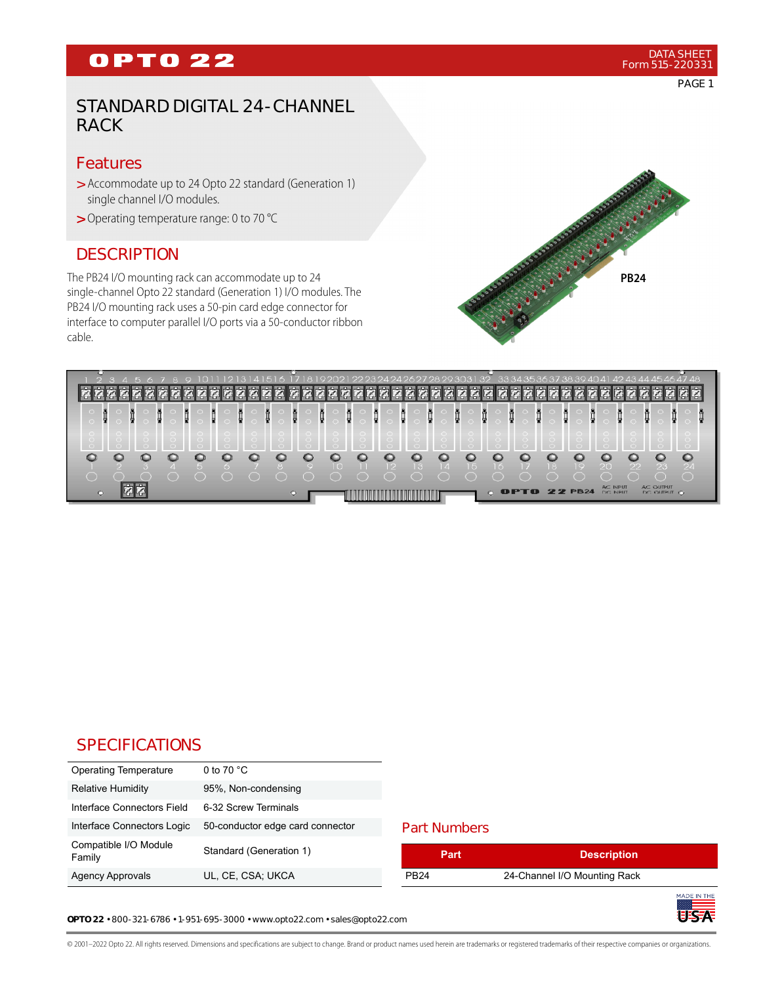# **OPTO 22**

# STANDARD DIGITAL 24-CHANNEL RACK

#### Features

- > Accommodate up to 24 Opto 22 standard (Generation 1) single channel I/O modules.
- Operating temperature range: 0 to 70 °C >

## **DESCRIPTION**

The PB24 I/O mounting rack can accommodate up to 24 single-channel Opto 22 standard (Generation 1) I/O modules. The PB24 I/O mounting rack uses a 50-pin card edge connector for interface to computer parallel I/O ports via a 50-conductor ribbon cable.



|         |   |   |   |   |   |    |   |   |    |                                                                                                                                                                                                                                      |   |   |                          |           |   |                |   |   |   |                     |    |    |                 |     |    |             |   | 616                     |  |
|---------|---|---|---|---|---|----|---|---|----|--------------------------------------------------------------------------------------------------------------------------------------------------------------------------------------------------------------------------------------|---|---|--------------------------|-----------|---|----------------|---|---|---|---------------------|----|----|-----------------|-----|----|-------------|---|-------------------------|--|
|         |   |   |   |   |   |    |   |   |    |                                                                                                                                                                                                                                      |   |   |                          |           |   |                |   |   |   |                     |    |    |                 |     |    |             |   |                         |  |
| į       | Я | 앃 | į | į | 렂 |    | ğ | į | ij |                                                                                                                                                                                                                                      | I | į | ij                       |           | ğ |                | į | ğ | į |                     |    | į  | į               |     | ij |             | 썇 | Ē<br>ł                  |  |
|         |   |   |   |   |   |    |   |   |    |                                                                                                                                                                                                                                      |   |   |                          |           |   |                |   |   |   |                     |    |    |                 |     |    |             |   |                         |  |
|         |   |   |   |   |   |    |   |   |    |                                                                                                                                                                                                                                      |   |   |                          |           |   |                |   |   |   |                     |    |    |                 |     |    |             |   |                         |  |
|         |   |   |   |   |   |    |   |   |    |                                                                                                                                                                                                                                      |   |   |                          |           |   |                |   |   |   |                     |    |    |                 |     |    |             |   |                         |  |
| c       |   |   |   |   |   |    |   |   |    |                                                                                                                                                                                                                                      |   |   | 13                       | $\vert$ 4 |   | <b>COLLEGE</b> |   |   |   | 8                   | -9 | 20 |                 | 122 |    | 23<br>◯     |   | <b>04.</b><br>$\subset$ |  |
|         |   |   |   |   |   |    |   |   |    |                                                                                                                                                                                                                                      |   |   |                          |           |   |                |   |   |   |                     |    |    | <b>AC INPUT</b> |     |    | AC OUTPUT   |   |                         |  |
| $\circ$ |   |   |   |   |   | O. |   |   |    | <u> Timba kasa sa mga kasang ng mga kasang ng mga kasang ng mga kasang ng mga kasang ng mga kasang ng mga kasang ng mga kasang ng mga kasang ng mga kasang ng mga kasang ng mga kasang ng mga kasang ng mga kasang ng mga kasang</u> |   |   | <b>THE REAL PROPERTY</b> |           |   |                |   |   |   | <b>OPTO 22 PB24</b> |    |    | DC: INPUT       |     |    | DC OUTPUT O |   |                         |  |

# **SPECIFICATIONS**

| <b>Operating Temperature</b>    | 0 to 70 $^{\circ}$ C             |
|---------------------------------|----------------------------------|
| <b>Relative Humidity</b>        | 95%, Non-condensing              |
| Interface Connectors Field      | 6-32 Screw Terminals             |
| Interface Connectors Logic      | 50-conductor edge card connector |
| Compatible I/O Module<br>Family | Standard (Generation 1)          |
| <b>Agency Approvals</b>         | UL, CE, CSA; UKCA                |

#### Part Numbers

| Part             | <b>Description</b>           |  |
|------------------|------------------------------|--|
| PB <sub>24</sub> | 24-Channel I/O Mounting Rack |  |
|                  |                              |  |

**OPTO 22** • 800-321-6786 • 1-951-695-3000 • www.opto22.com • sales@opto22.com

© 2001–2022 Opto 22. All rights reserved. Dimensions and specifications are subject to change. Brand or product names used herein are trademarks or registered trademarks of their respective companies or organizations.

PAGE 1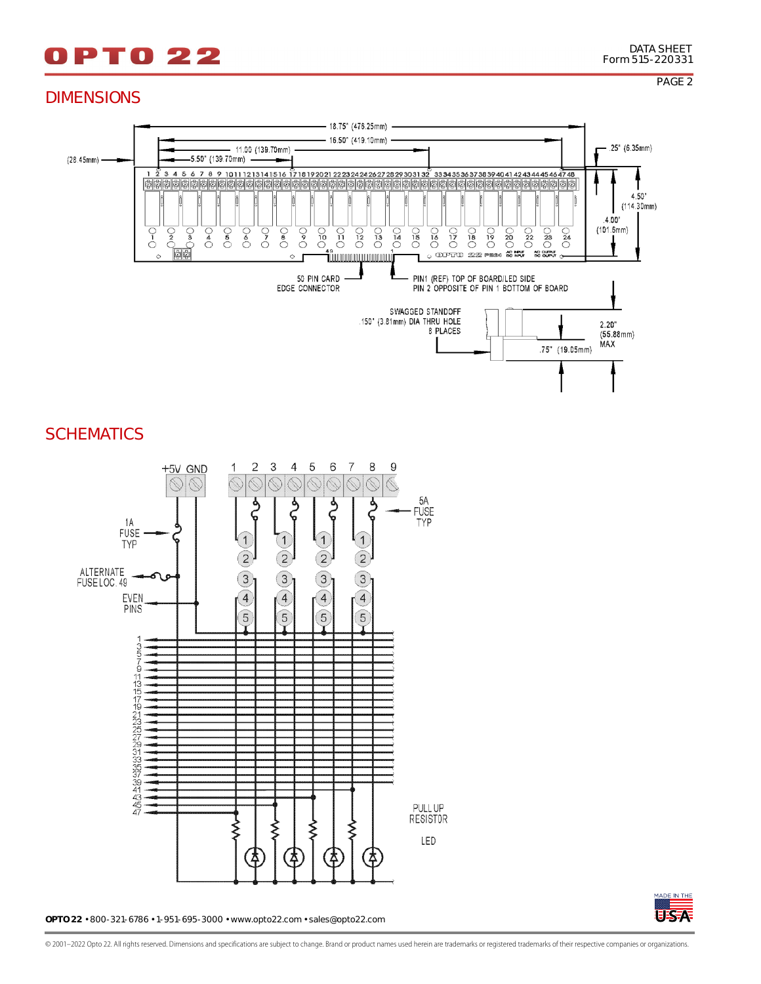# **PTO22**

## DIMENSIONS



### **SCHEMATICS**



**OPTO 22** • 800-321-6786 • 1-951-695-3000 • www.opto22.com • sales@opto22.com



© 2001–2022 Opto 22. All rights reserved. Dimensions and specifications are subject to change. Brand or product names used herein are trademarks or registered trademarks of their respective companies or organizations.

PAGE 2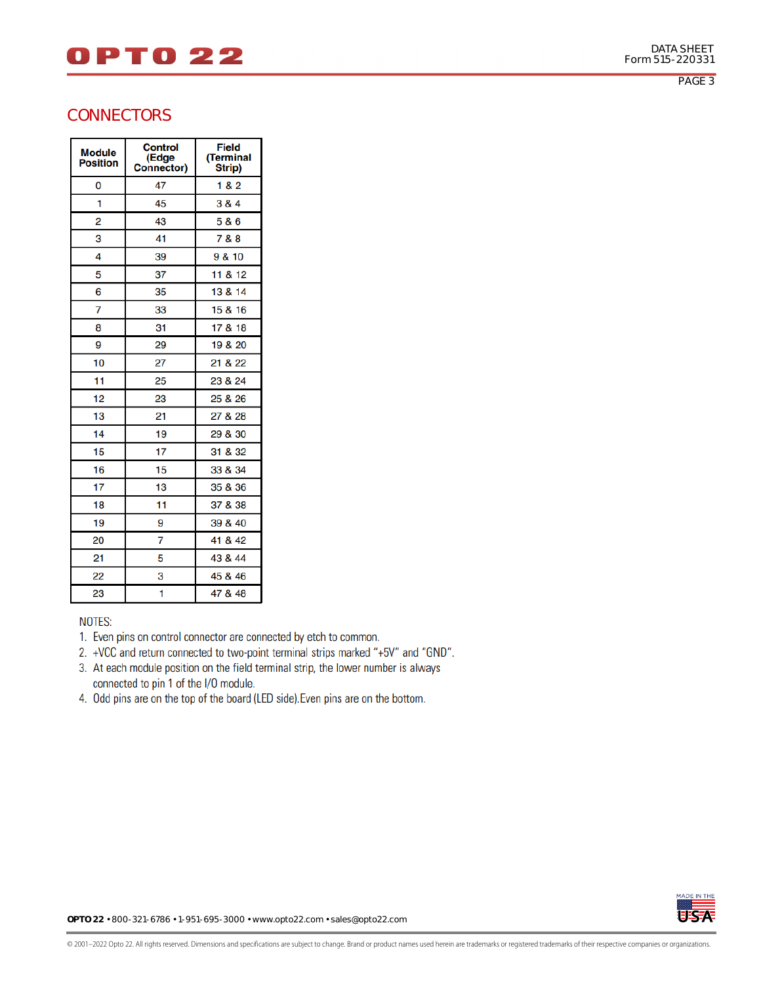# **DPT022**

PAGE 3

| <b>Module</b><br><b>Position</b> | <b>Control</b><br>(Edge<br><b>Connector)</b> | <b>Field</b><br>(Terminal<br>Strip) |
|----------------------------------|----------------------------------------------|-------------------------------------|
| 0                                | 47                                           | 1 & 2                               |
| 1                                | 45                                           | 3 & 4                               |
| 2                                | 43                                           | 5 & 6                               |
| 3                                | 41                                           | 7 & 8                               |
| 4                                | 39                                           | 9 & 10                              |
| 5                                | 37                                           | 11 & 12                             |
| 6                                | 35                                           | 13 & 14                             |
| 7                                | 33                                           | 15 & 16                             |
| 8                                | 31                                           | 17 & 18                             |
| 9                                | 29                                           | 19 & 20                             |
| 10                               | 27                                           | 21 & 22                             |
| 11                               | 25                                           | 23 & 24                             |
| 12                               | 23                                           | 25 & 26                             |
| 13                               | 21                                           | 27 & 28                             |
| 14                               | 19                                           | 29 & 30                             |
| 15                               | 17                                           | 31 & 32                             |
| 16                               | 15                                           | 33 & 34                             |
| 17                               | 13                                           | 35 & 36                             |
| 18                               | 11                                           | 37 & 38                             |
| 19                               | 9                                            | 39 & 40                             |
| 20                               | 7                                            | 41 & 42                             |
| 21                               | 5                                            | 43 & 44                             |
| 22                               | 3                                            | 45 & 46                             |
| 23                               | 1                                            | 47 & 48                             |

#### **NOTES:**

- 1. Even pins on control connector are connected by etch to common.
- 2. +VCC and return connected to two-point terminal strips marked "+5V" and "GND".
- 3. At each module position on the field terminal strip, the lower number is always connected to pin 1 of the I/O module.
- 4. Odd pins are on the top of the board (LED side). Even pins are on the bottom.



**OPTO 22** • 800-321-6786 • 1-951-695-3000 • www.opto22.com • sales@opto22.com